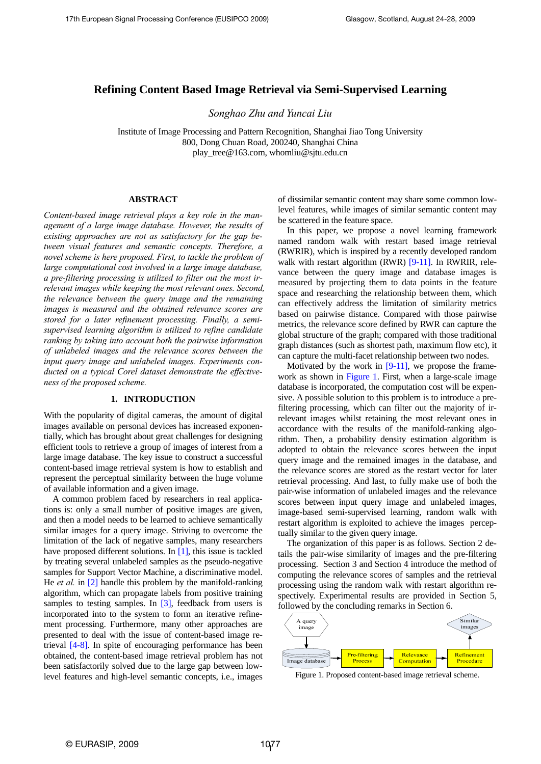# **Refining Content Based Image Retrieval via Semi-Supervised Learning**

*Songhao Zhu and Yuncai Liu* 

Institute of Image Processing and Pattern Recognition, Shanghai Jiao Tong University 800, Dong Chuan Road, 200240, Shanghai China play\_tree@163.com, whomliu@sjtu.edu.cn

# **ABSTRACT**

*Content-based image retrieval plays a key role in the management of a large image database. However, the results of existing approaches are not as satisfactory for the gap between visual features and semantic concepts. Therefore, a novel scheme is here proposed. First, to tackle the problem of large computational cost involved in a large image database, a pre-filtering processing is utilized to filter out the most irrelevant images while keeping the most relevant ones. Second, the relevance between the query image and the remaining images is measured and the obtained relevance scores are stored for a later refinement processing. Finally, a semisupervised learning algorithm is utilized to refine candidate ranking by taking into account both the pairwise information of unlabeled images and the relevance scores between the input query image and unlabeled images. Experiments conducted on a typical Corel dataset demonstrate the effectiveness of the proposed scheme.* 

# **1. INTRODUCTION**

With the popularity of digital cameras, the amount of digital images available on personal devices has increased exponentially, which has brought about great challenges for designing efficient tools to retrieve a group of images of interest from a large image database. The key issue to construct a successful content-based image retrieval system is how to establish and represent the perceptual similarity between the huge volume of available information and a given image.

A common problem faced by researchers in real applications is: only a small number of positive images are given, and then a model needs to be learned to achieve semantically similar images for a query image. Striving to overcome the limitation of the lack of negative samples, many researchers have proposed different solutions. In [1], this issue is tackled by treating several unlabeled samples as the pseudo-negative samples for Support Vector Machine, a discriminative model. He *et al.* in [2] handle this problem by the manifold-ranking algorithm, which can propagate labels from positive training samples to testing samples. In [3], feedback from users is incorporated into to the system to form an iterative refinement processing. Furthermore, many other approaches are presented to deal with the issue of content-based image retrieval [4-8]. In spite of encouraging performance has been obtained, the content-based image retrieval problem has not been satisfactorily solved due to the large gap between lowlevel features and high-level semantic concepts, i.e., images

of dissimilar semantic content may share some common lowlevel features, while images of similar semantic content may be scattered in the feature space.

In this paper, we propose a novel learning framework named random walk with restart based image retrieval (RWRIR), which is inspired by a recently developed random walk with restart algorithm (RWR) [9-11]. In RWRIR, relevance between the query image and database images is measured by projecting them to data points in the feature space and researching the relationship between them, which can effectively address the limitation of similarity metrics based on pairwise distance. Compared with those pairwise metrics, the relevance score defined by RWR can capture the global structure of the graph; compared with those traditional graph distances (such as shortest path, maximum flow etc), it can capture the multi-facet relationship between two nodes.

Motivated by the work in  $[9-11]$ , we propose the framework as shown in Figure 1. First, when a large-scale image database is incorporated, the computation cost will be expensive. A possible solution to this problem is to introduce a prefiltering processing, which can filter out the majority of irrelevant images whilst retaining the most relevant ones in accordance with the results of the manifold-ranking algorithm. Then, a probability density estimation algorithm is adopted to obtain the relevance scores between the input query image and the remained images in the database, and the relevance scores are stored as the restart vector for later retrieval processing. And last, to fully make use of both the pair-wise information of unlabeled images and the relevance scores between input query image and unlabeled images, image-based semi-supervised learning, random walk with restart algorithm is exploited to achieve the images perceptually similar to the given query image.

The organization of this paper is as follows. Section 2 details the pair-wise similarity of images and the pre-filtering processing. Section 3 and Section 4 introduce the method of computing the relevance scores of samples and the retrieval processing using the random walk with restart algorithm respectively. Experimental results are provided in Section 5, followed by the concluding remarks in Section 6.



Figure 1. Proposed content-based image retrieval scheme.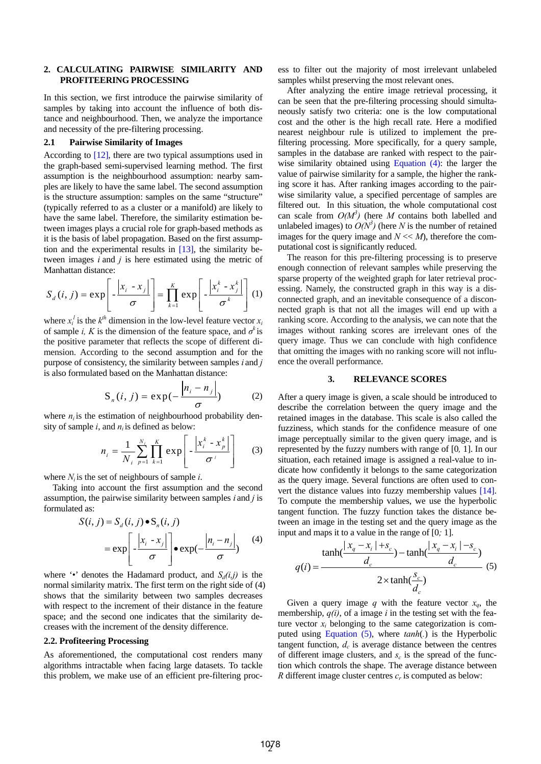## **2. CALCULATING PAIRWISE SIMILARITY AND PROFITEERING PROCESSING**

In this section, we first introduce the pairwise similarity of samples by taking into account the influence of both distance and neighbourhood. Then, we analyze the importance and necessity of the pre-filtering processing.

## **2.1 Pairwise Similarity of Images**

According to [12], there are two typical assumptions used in the graph-based semi-supervised learning method. The first assumption is the neighbourhood assumption: nearby samples are likely to have the same label. The second assumption is the structure assumption: samples on the same "structure" (typically referred to as a cluster or a manifold) are likely to have the same label. Therefore, the similarity estimation between images plays a crucial role for graph-based methods as it is the basis of label propagation. Based on the first assumption and the experimental results in [13], the similarity between images *i* and *j* is here estimated using the metric of Manhattan distance:

$$
S_d(i, j) = \exp\left[-\frac{|x_i - x_j|}{\sigma}\right] = \prod_{k=1}^K \exp\left[-\frac{|x_i^k - x_j^k|}{\sigma^k}\right] (1)
$$

where  $x_i^l$  is the  $k^{th}$  dimension in the low-level feature vector  $x_i$ of sample *i*, K is the dimension of the feature space, and  $\sigma^k$  is the positive parameter that reflects the scope of different dimension. According to the second assumption and for the purpose of consistency, the similarity between samples *i* and *j*  is also formulated based on the Manhattan distance:

$$
S_n(i, j) = \exp(-\frac{|n_i - n_j|}{\sigma})
$$
 (2)

where  $n_i$  is the estimation of neighbourhood probability density of sample  $i$ , and  $n<sub>i</sub>$  is defined as below:

$$
n_i = \frac{1}{N_i} \sum_{p=1}^{N_i} \prod_{k=1}^{K} \exp\left[-\frac{\left|x_i^k - x_p^k\right|}{\sigma^i}\right] \qquad (3)
$$

where  $N_i$  is the set of neighbours of sample *i*.

Taking into account the first assumption and the second assumption, the pairwise similarity between samples *i* and *j* is formulated as:

$$
S(i, j) = S_d(i, j) \bullet S_n(i, j)
$$
  
=  $\exp\left[-\frac{|x_i - x_j|}{\sigma}\right] \bullet \exp(-\frac{|n_i - n_j|}{\sigma})$  (4)

where  $\cdot\cdot\cdot$  denotes the Hadamard product, and  $S_d(i,j)$  is the normal similarity matrix. The first term on the right side of (4) shows that the similarity between two samples decreases with respect to the increment of their distance in the feature space; and the second one indicates that the similarity decreases with the increment of the density difference.

#### **2.2. Profiteering Processing**

As aforementioned, the computational cost renders many algorithms intractable when facing large datasets. To tackle this problem, we make use of an efficient pre-filtering process to filter out the majority of most irrelevant unlabeled samples whilst preserving the most relevant ones.

After analyzing the entire image retrieval processing, it can be seen that the pre-filtering processing should simultaneously satisfy two criteria: one is the low computational cost and the other is the high recall rate. Here a modified nearest neighbour rule is utilized to implement the prefiltering processing. More specifically, for a query sample, samples in the database are ranked with respect to the pairwise similarity obtained using Equation (4): the larger the value of pairwise similarity for a sample, the higher the ranking score it has. After ranking images according to the pairwise similarity value, a specified percentage of samples are filtered out. In this situation, the whole computational cost can scale from  $O(M^3)$  (here *M* contains both labelled and unlabeled images) to  $O(N^3)$  (here *N* is the number of retained images for the query image and  $N \ll M$ ), therefore the computational cost is significantly reduced.

The reason for this pre-filtering processing is to preserve enough connection of relevant samples while preserving the sparse property of the weighted graph for later retrieval processing. Namely, the constructed graph in this way is a disconnected graph, and an inevitable consequence of a disconnected graph is that not all the images will end up with a ranking score. According to the analysis, we can note that the images without ranking scores are irrelevant ones of the query image. Thus we can conclude with high confidence that omitting the images with no ranking score will not influence the overall performance.

#### **3. RELEVANCE SCORES**

After a query image is given, a scale should be introduced to describe the correlation between the query image and the retained images in the database. This scale is also called the fuzziness, which stands for the confidence measure of one image perceptually similar to the given query image, and is represented by the fuzzy numbers with range of [0*,* 1]. In our situation, each retained image is assigned a real-value to indicate how confidently it belongs to the same categorization as the query image. Several functions are often used to convert the distance values into fuzzy membership values [14]. To compute the membership values, we use the hyperbolic tangent function. The fuzzy function takes the distance between an image in the testing set and the query image as the input and maps it to a value in the range of [0*;* 1].

$$
q(i) = \frac{\tanh(\frac{|x_q - x_i| + s_c}{d_c}) - \tanh(\frac{|x_q - x_i| - s_c}{d_c})}{2 \times \tanh(\frac{s_c}{d_c})} \tag{5}
$$

Given a query image *q* with the feature vector  $x_a$ , the membership,  $q(i)$ , of a image *i* in the testing set with the feature vector  $x_i$  belonging to the same categorization is computed using Equation (5), where *tanh*(*.*) is the Hyperbolic tangent function,  $d_c$  is average distance between the centres of different image clusters, and  $s_c$  is the spread of the function which controls the shape. The average distance between *R* different image cluster centres  $c_r$  is computed as below: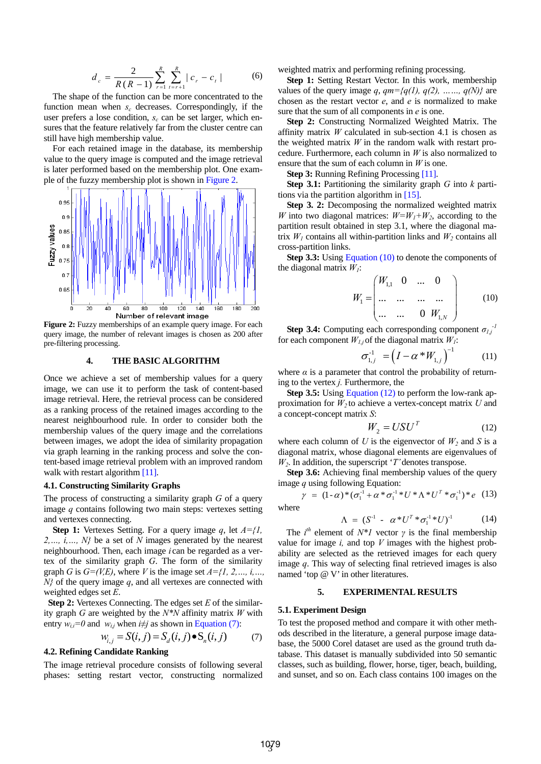$$
d_c = \frac{2}{R(R-1)} \sum_{r=1}^{R} \sum_{t=r+1}^{R} |c_r - c_t|
$$
 (6)

The shape of the function can be more concentrated to the function mean when *s<sub>c</sub>* decreases. Correspondingly, if the user prefers a lose condition,  $s_c$  can be set larger, which ensures that the feature relatively far from the cluster centre can still have high membership value.

For each retained image in the database, its membership value to the query image is computed and the image retrieval is later performed based on the membership plot. One example of the fuzzy membership plot is shown in Figure 2.



**Figure 2:** Fuzzy memberships of an example query image. For each query image, the number of relevant images is chosen as 200 after pre-filtering processing.

#### **4. THE BASIC ALGORITHM**

Once we achieve a set of membership values for a query image, we can use it to perform the task of content-based image retrieval. Here, the retrieval process can be considered as a ranking process of the retained images according to the nearest neighbourhood rule. In order to consider both the membership values of the query image and the correlations between images, we adopt the idea of similarity propagation via graph learning in the ranking process and solve the content-based image retrieval problem with an improved random walk with restart algorithm [11].

#### **4.1. Constructing Similarity Graphs**

The process of constructing a similarity graph *G* of a query image *q* contains following two main steps: vertexes setting and vertexes connecting.

**Step 1:** Vertexes Setting. For a query image *q*, let *A={1, 2,…, i,…, N}* be a set of *N* images generated by the nearest neighbourhood. Then, each image *i* can be regarded as a vertex of the similarity graph *G*. The form of the similarity graph *G* is  $G=(V,E)$ , where *V* is the image set  $A = \{1, 2, \ldots, i, \ldots\}$ *N}* of the query image *q*, and all vertexes are connected with weighted edges set *E*.

**Step 2:** Vertexes Connecting. The edges set *E* of the similarity graph *G* are weighted by the *N\*N* affinity matrix *W* with entry  $w_{ii}=0$  and  $w_{ii}$  when  $i\neq j$  as shown in Equation (7):

$$
W_{i,j} = S(i,j) = S_d(i,j) \bullet S_n(i,j)
$$
 (7)

## **4.2. Refining Candidate Ranking**

The image retrieval procedure consists of following several phases: setting restart vector, constructing normalized weighted matrix and performing refining processing.

Step 1: Setting Restart Vector. In this work, membership values of the query image  $q$ ,  $qm=fq(1), q(2), \ldots, q(N)$  are chosen as the restart vector *e*, and *e* is normalized to make sure that the sum of all components in *e* is one.

**Step 2:** Constructing Normalized Weighted Matrix. The affinity matrix *W* calculated in sub-section 4.1 is chosen as the weighted matrix *W* in the random walk with restart procedure. Furthermore, each column in *W* is also normalized to ensure that the sum of each column in *W* is one.

**Step 3:** Running Refining Processing [11].

**Step 3.1:** Partitioning the similarity graph *G* into *k* partitions via the partition algorithm in [15].

**Step 3. 2:** Decomposing the normalized weighted matrix *W* into two diagonal matrices:  $W = W_1 + W_2$ , according to the partition result obtained in step 3.1, where the diagonal matrix  $W_1$  contains all within-partition links and  $W_2$  contains all cross-partition links.

**Step 3.3:** Using Equation (10) to denote the components of the diagonal matrix  $W_i$ :

$$
W_1 = \begin{pmatrix} W_{1,1} & 0 & \dots & 0 \\ \dots & \dots & \dots & \dots \\ \dots & \dots & 0 & W_{1,N} \end{pmatrix}
$$
 (10)

**Step 3.4:** Computing each corresponding component  $\sigma_{1,j}$ <sup>-1</sup> for each component  $W_{1,j}$  of the diagonal matrix  $W_1$ :

$$
\sigma_{1,j}^{-1} = (I - \alpha \cdot W_{1,j})^{-1} \tag{11}
$$

where  $\alpha$  is a parameter that control the probability of returning to the vertex *j.* Furthermore, the

**Step 3.5:** Using Equation (12) to perform the low-rank approximation for  $W_2$  to achieve a vertex-concept matrix  $U$  and a concept-concept matrix *S*:

$$
W_2 = USU^T \tag{12}
$$

where each column of  $U$  is the eigenvector of  $W_2$  and  $S$  is a diagonal matrix, whose diagonal elements are eigenvalues of *W2*. In addition, the superscript '*T'* denotes transpose.

**Step 3.6:** Achieving final membership values of the query image  $q$  using following Equation:

$$
\gamma = (1 - \alpha) * (\sigma_1^{-1} + \alpha * \sigma_1^{-1} * U * \Lambda * U^T * \sigma_1^{-1}) * e \quad (13)
$$
  
where

 $\Lambda = (S^{-1} - \alpha * U^T * \sigma_1^{-1} * U)^{-1}$  (14)

The  $i^{th}$  element of  $N^*$ *l* vector  $\gamma$  is the final membership value for image *i,* and top *V* images with the highest probability are selected as the retrieved images for each query image *q*. This way of selecting final retrieved images is also named 'top @ V' in other literatures.

## **5. EXPERIMENTAL RESULTS**

#### **5.1. Experiment Design**

To test the proposed method and compare it with other methods described in the literature, a general purpose image database, the 5000 Corel dataset are used as the ground truth database. This dataset is manually subdivided into 50 semantic classes, such as building, flower, horse, tiger, beach, building, and sunset, and so on. Each class contains 100 images on the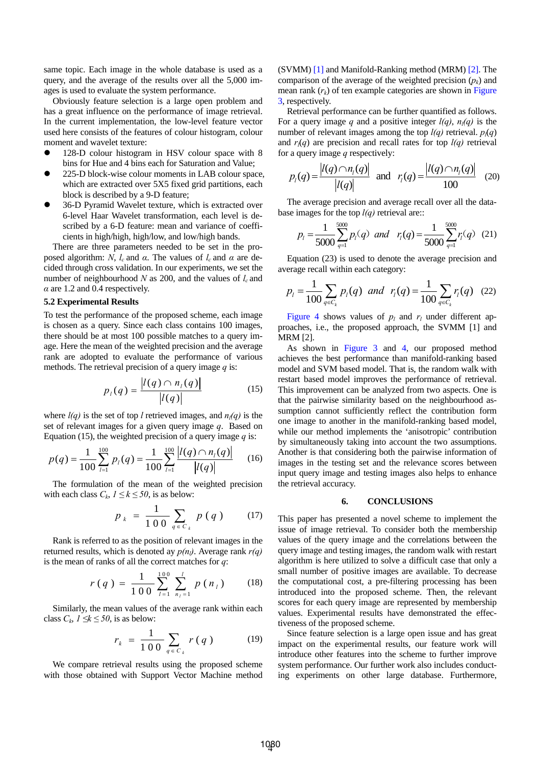same topic. Each image in the whole database is used as a query, and the average of the results over all the 5,000 images is used to evaluate the system performance.

Obviously feature selection is a large open problem and has a great influence on the performance of image retrieval. In the current implementation, the low-level feature vector used here consists of the features of colour histogram, colour moment and wavelet texture:

- 128-D colour histogram in HSV colour space with 8 bins for Hue and 4 bins each for Saturation and Value;
- z 225-D block-wise colour moments in LAB colour space, which are extracted over 5X5 fixed grid partitions, each block is described by a 9-D feature;
- 36-D Pyramid Wavelet texture, which is extracted over 6-level Haar Wavelet transformation, each level is described by a 6-D feature: mean and variance of coefficients in high/high, high/low, and low/high bands.

There are three parameters needed to be set in the proposed algorithm: *N*,  $l_c$  and *α*. The values of  $l_c$  and *α* are decided through cross validation. In our experiments, we set the number of neighbourhood  $N$  as 200, and the values of  $l_c$  and  $\alpha$  are 1.2 and 0.4 respectively.

#### **5.2 Experimental Results**

To test the performance of the proposed scheme, each image is chosen as a query. Since each class contains 100 images, there should be at most 100 possible matches to a query image. Here the mean of the weighted precision and the average rank are adopted to evaluate the performance of various methods. The retrieval precision of a query image *q* is:

$$
p_{i}(q) = \frac{|l(q) \cap n_{i}(q)|}{|l(q)|}
$$
 (15)

where  $l(q)$  is the set of top *l* retrieved images, and  $n_l(q)$  is the set of relevant images for a given query image *q*. Based on Equation (15), the weighted precision of a query image *q* is:

$$
p(q) = \frac{1}{100} \sum_{l=1}^{100} p_l(q) = \frac{1}{100} \sum_{l=1}^{100} \frac{|l(q) \cap n_l(q)|}{|l(q)|} \qquad (16)
$$

The formulation of the mean of the weighted precision with each class  $C_k$ ,  $1 \le k \le 50$ , is as below:

$$
p_{k} = \frac{1}{100} \sum_{q \in C_{k}} p(q) \qquad (17)
$$

Rank is referred to as the position of relevant images in the returned results, which is denoted ay  $p(n_l)$ . Average rank  $r(q)$ is the mean of ranks of all the correct matches for *q*:

$$
r(q) = \frac{1}{100} \sum_{l=1}^{100} \sum_{n_l=1}^{l} p(n_l)
$$
 (18)

Similarly, the mean values of the average rank within each class  $C_k$ , *1* ≤*k* ≤ 50, is as below:

$$
r_k = \frac{1}{100} \sum_{q \in C_k} r(q) \tag{19}
$$

We compare retrieval results using the proposed scheme with those obtained with Support Vector Machine method (SVMM) [1] and Manifold-Ranking method (MRM) [2]. The comparison of the average of the weighted precision  $(p_k)$  and mean rank  $(r_k)$  of ten example categories are shown in Figure 3, respectively.

Retrieval performance can be further quantified as follows. For a query image q and a positive integer  $l(q)$ ,  $n_l(q)$  is the number of relevant images among the top  $l(q)$  retrieval.  $p_l(q)$ and  $r_l(q)$  are precision and recall rates for top  $l(q)$  retrieval for a query image *q* respectively:

$$
p_i(q) = \frac{|l(q) \cap n_i(q)|}{|l(q)|}
$$
 and  $r_i(q) = \frac{|l(q) \cap n_i(q)|}{100}$  (20)

The average precision and average recall over all the database images for the top  $l(q)$  retrieval are::

$$
p_l = \frac{1}{5000} \sum_{q=1}^{5000} p_l(q) \text{ and } r_l(q) = \frac{1}{5000} \sum_{q=1}^{5000} r_l(q) \quad (21)
$$

Equation (23) is used to denote the average precision and average recall within each category:

$$
p_l = \frac{1}{100} \sum_{q \in C_k} p_l(q) \text{ and } r_l(q) = \frac{1}{100} \sum_{q \in C_k} r_l(q) \quad (22)
$$

Figure 4 shows values of  $p_l$  and  $r_l$  under different approaches, i.e., the proposed approach, the SVMM [1] and MRM [2].

As shown in Figure 3 and 4, our proposed method achieves the best performance than manifold-ranking based model and SVM based model. That is, the random walk with restart based model improves the performance of retrieval. This improvement can be analyzed from two aspects. One is that the pairwise similarity based on the neighbourhood assumption cannot sufficiently reflect the contribution form one image to another in the manifold-ranking based model, while our method implements the 'anisotropic' contribution by simultaneously taking into account the two assumptions. Another is that considering both the pairwise information of images in the testing set and the relevance scores between input query image and testing images also helps to enhance the retrieval accuracy.

### **6. CONCLUSIONS**

This paper has presented a novel scheme to implement the issue of image retrieval. To consider both the membership values of the query image and the correlations between the query image and testing images, the random walk with restart algorithm is here utilized to solve a difficult case that only a small number of positive images are available. To decrease the computational cost, a pre-filtering processing has been introduced into the proposed scheme. Then, the relevant scores for each query image are represented by membership values. Experimental results have demonstrated the effectiveness of the proposed scheme.

Since feature selection is a large open issue and has great impact on the experimental results, our feature work will introduce other features into the scheme to further improve system performance. Our further work also includes conducting experiments on other large database. Furthermore,